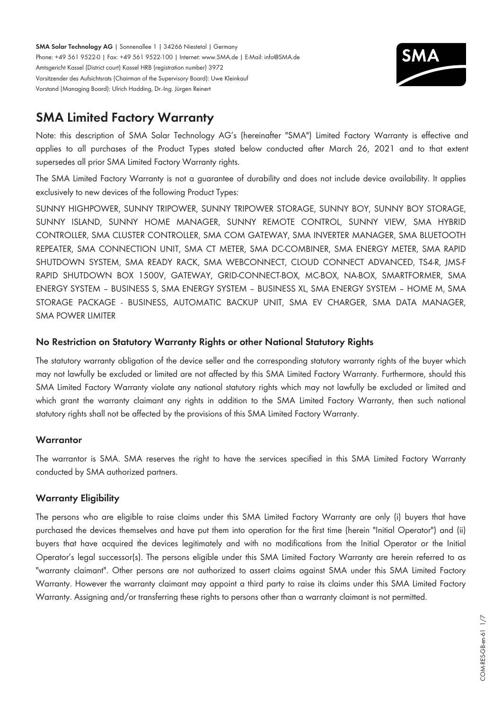**SMA Solar Technology AG** | Sonnenallee 1 | 34266 Niestetal | Germany Phone: +49 561 9522-0 | Fax: +49 561 9522-100 | Internet: www.SMA.de | E-Mail: info@SMA.de Amtsgericht Kassel (District court) Kassel HRB (registration number) 3972 Vorsitzender des Aufsichtsrats (Chairman of the Supervisory Board): Uwe Kleinkauf Vorstand (Managing Board): Ulrich Hadding, Dr.-Ing. Jürgen Reinert



# **SMA Limited Factory Warranty**

Note: this description of SMA Solar Technology AG's (hereinafter "SMA") Limited Factory Warranty is effective and applies to all purchases of the Product Types stated below conducted after March 26, 2021 and to that extent supersedes all prior SMA Limited Factory Warranty rights.

The SMA Limited Factory Warranty is not a guarantee of durability and does not include device availability. It applies exclusively to new devices of the following Product Types:

SUNNY HIGHPOWER, SUNNY TRIPOWER, SUNNY TRIPOWER STORAGE, SUNNY BOY, SUNNY BOY STORAGE, SUNNY ISLAND, SUNNY HOME MANAGER, SUNNY REMOTE CONTROL, SUNNY VIEW, SMA HYBRID CONTROLLER, SMA CLUSTER CONTROLLER, SMA COM GATEWAY, SMA INVERTER MANAGER, SMA BLUETOOTH REPEATER, SMA CONNECTION UNIT, SMA CT METER, SMA DC-COMBINER, SMA ENERGY METER, SMA RAPID SHUTDOWN SYSTEM, SMA READY RACK, SMA WEBCONNECT, CLOUD CONNECT ADVANCED, TS4-R, JMS-F RAPID SHUTDOWN BOX 1500V, GATEWAY, GRID-CONNECT-BOX, MC-BOX, NA-BOX, SMARTFORMER, SMA ENERGY SYSTEM – BUSINESS S, SMA ENERGY SYSTEM – BUSINESS XL, SMA ENERGY SYSTEM – HOME M, SMA STORAGE PACKAGE - BUSINESS, AUTOMATIC BACKUP UNIT, SMA EV CHARGER, SMA DATA MANAGER, SMA POWER LIMITER

# **No Restriction on Statutory Warranty Rights or other National Statutory Rights**

The statutory warranty obligation of the device seller and the corresponding statutory warranty rights of the buyer which may not lawfully be excluded or limited are not affected by this SMA Limited Factory Warranty. Furthermore, should this SMA Limited Factory Warranty violate any national statutory rights which may not lawfully be excluded or limited and which grant the warranty claimant any rights in addition to the SMA Limited Factory Warranty, then such national statutory rights shall not be affected by the provisions of this SMA Limited Factory Warranty.

## **Warrantor**

The warrantor is SMA. SMA reserves the right to have the services specified in this SMA Limited Factory Warranty conducted by SMA authorized partners.

## **Warranty Eligibility**

The persons who are eligible to raise claims under this SMA Limited Factory Warranty are only (i) buyers that have purchased the devices themselves and have put them into operation for the first time (herein "Initial Operator") and (ii) buyers that have acquired the devices legitimately and with no modifications from the Initial Operator or the Initial Operator's legal successor(s). The persons eligible under this SMA Limited Factory Warranty are herein referred to as "warranty claimant". Other persons are not authorized to assert claims against SMA under this SMA Limited Factory Warranty. However the warranty claimant may appoint a third party to raise its claims under this SMA Limited Factory Warranty. Assigning and/or transferring these rights to persons other than a warranty claimant is not permitted.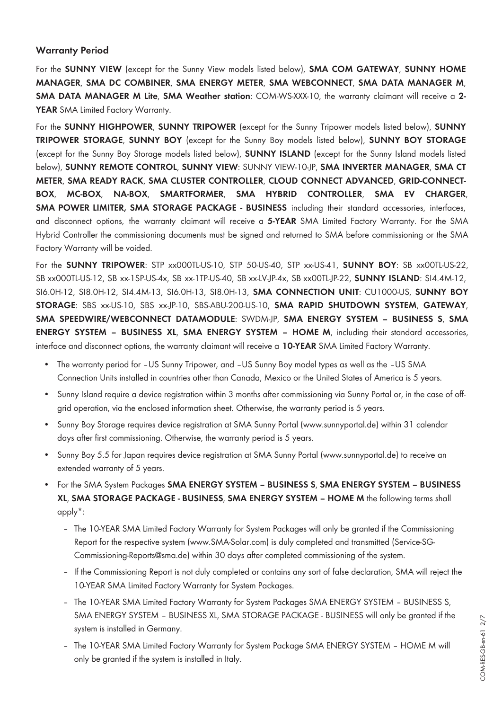## **Warranty Period**

For the **SUNNY VIEW** (except for the Sunny View models listed below), **SMA COM GATEWAY**, **SUNNY HOME MANAGER**, **SMA DC COMBINER**, **SMA ENERGY METER**, **SMA WEBCONNECT**, **SMA DATA MANAGER M**, **SMA DATA MANAGER M Lite**, **SMA Weather station**: COM-WS-XXX-10, the warranty claimant will receive a **2-** YEAR SMA Limited Factory Warranty.

For the **SUNNY HIGHPOWER**, **SUNNY TRIPOWER** (except for the Sunny Tripower models listed below), **SUNNY TRIPOWER STORAGE**, **SUNNY BOY** (except for the Sunny Boy models listed below), **SUNNY BOY STORAGE** (except for the Sunny Boy Storage models listed below), **SUNNY ISLAND** (except for the Sunny Island models listed below), **SUNNY REMOTE CONTROL**, **SUNNY VIEW**: SUNNY VIEW-10-JP, **SMA INVERTER MANAGER**, **SMA CT METER**, **SMA READY RACK**, **SMA CLUSTER CONTROLLER**, **CLOUD CONNECT ADVANCED**, **GRID-CONNECT-BOX**, **MC-BOX**, **NA-BOX**, **SMARTFORMER**, **SMA HYBRID CONTROLLER**, **SMA EV CHARGER**, **SMA POWER LIMITER, SMA STORAGE PACKAGE - BUSINESS** including their standard accessories, interfaces, and disconnect options, the warranty claimant will receive a **5-YEAR** SMA Limited Factory Warranty. For the SMA Hybrid Controller the commissioning documents must be signed and returned to SMA before commissioning or the SMA Factory Warranty will be voided.

For the **SUNNY TRIPOWER**: STP xx000TL-US-10, STP 50-US-40, STP xx-US-41, **SUNNY BOY**: SB xx00TL-US-22, SB xx000TL-US-12, SB xx-1SP-US-4x, SB xx-1TP-US-40, SB xx-LV-JP-4x, SB xx00TL-JP-22, **SUNNY ISLAND**: SI4.4M-12, SI6.0H-12, SI8.0H-12, SI4.4M-13, SI6.0H-13, SI8.0H-13, **SMA CONNECTION UNIT**: CU1000-US, **SUNNY BOY STORAGE**: SBS xx-US-10, SBS xx-JP-10, SBS-ABU-200-US-10, **SMA RAPID SHUTDOWN SYSTEM**, **GATEWAY**, **SMA SPEEDWIRE/WEBCONNECT DATAMODULE**: SWDM-JP, **SMA ENERGY SYSTEM – BUSINESS S**, **SMA ENERGY SYSTEM – BUSINESS XL**, **SMA ENERGY SYSTEM – HOME M**, including their standard accessories, interface and disconnect options, the warranty claimant will receive a **10-YEAR** SMA Limited Factory Warranty.

- The warranty period for -US Sunny Tripower, and -US Sunny Boy model types as well as the -US SMA Connection Units installed in countries other than Canada, Mexico or the United States of America is 5 years.
- Sunny Island require a device registration within 3 months after commissioning via Sunny Portal or, in the case of offgrid operation, via the enclosed information sheet. Otherwise, the warranty period is 5 years.
- Sunny Boy Storage requires device registration at SMA Sunny Portal (www.sunnyportal.de) within 31 calendar days after first commissioning. Otherwise, the warranty period is 5 years.
- Sunny Boy 5.5 for Japan requires device registration at SMA Sunny Portal (www.sunnyportal.de) to receive an extended warranty of 5 years.
- For the SMA System Packages **SMA ENERGY SYSTEM BUSINESS S**, **SMA ENERGY SYSTEM BUSINESS XL**, **SMA STORAGE PACKAGE - BUSINESS**, **SMA ENERGY SYSTEM – HOME M** the following terms shall apply\*:
	- The 10-YEAR SMA Limited Factory Warranty for System Packages will only be granted if the Commissioning Report for the respective system ([www.SMA-Solar.com\)](http://www.SMA-Solar.com) is duly completed and transmitted (Service-SG-Commissioning-Reports@sma.de) within 30 days after completed commissioning of the system.
	- If the Commissioning Report is not duly completed or contains any sort of false declaration, SMA will reject the 10-YEAR SMA Limited Factory Warranty for System Packages.
	- The 10-YEAR SMA Limited Factory Warranty for System Packages SMA ENERGY SYSTEM BUSINESS S, SMA ENERGY SYSTEM – BUSINESS XL, SMA STORAGE PACKAGE - BUSINESS will only be granted if the system is installed in Germany.
	- The 10-YEAR SMA Limited Factory Warranty for System Package SMA ENERGY SYSTEM HOME M will only be granted if the system is installed in Italy.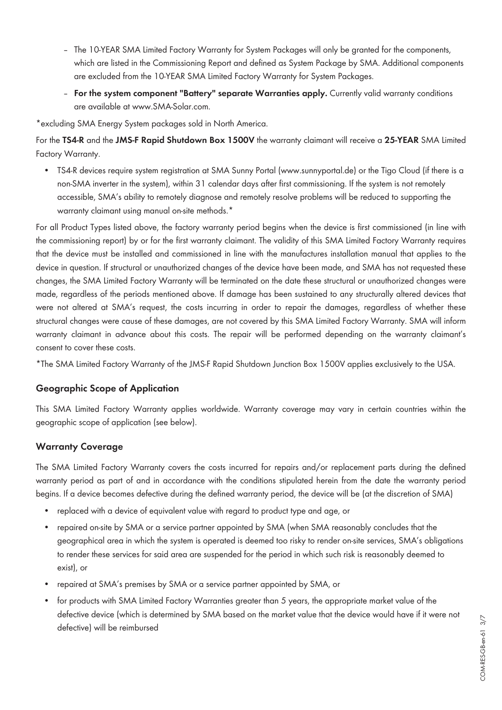- The 10-YEAR SMA Limited Factory Warranty for System Packages will only be granted for the components, which are listed in the Commissioning Report and defined as System Package by SMA. Additional components are excluded from the 10-YEAR SMA Limited Factory Warranty for System Packages.
- **For the system component "Battery" separate Warranties apply.** Currently valid warranty conditions are available at [www.SMA-Solar.com](http://www.SMA-Solar.com).

\*excluding SMA Energy System packages sold in North America.

For the **TS4-R** and the **JMS-F Rapid Shutdown Box 1500V** the warranty claimant will receive a **25-YEAR** SMA Limited Factory Warranty.

• TS4-R devices require system registration at SMA Sunny Portal (www.sunnyportal.de) or the Tigo Cloud (if there is a non-SMA inverter in the system), within 31 calendar days after first commissioning. If the system is not remotely accessible, SMA's ability to remotely diagnose and remotely resolve problems will be reduced to supporting the warranty claimant using manual on-site methods.<sup>\*</sup>

For all Product Types listed above, the factory warranty period begins when the device is first commissioned (in line with the commissioning report) by or for the first warranty claimant. The validity of this SMA Limited Factory Warranty requires that the device must be installed and commissioned in line with the manufactures installation manual that applies to the device in question. If structural or unauthorized changes of the device have been made, and SMA has not requested these changes, the SMA Limited Factory Warranty will be terminated on the date these structural or unauthorized changes were made, regardless of the periods mentioned above. If damage has been sustained to any structurally altered devices that were not altered at SMA's request, the costs incurring in order to repair the damages, regardless of whether these structural changes were cause of these damages, are not covered by this SMA Limited Factory Warranty. SMA will inform warranty claimant in advance about this costs. The repair will be performed depending on the warranty claimant's consent to cover these costs.

\*The SMA Limited Factory Warranty of the JMS-F Rapid Shutdown Junction Box 1500V applies exclusively to the USA.

## **Geographic Scope of Application**

This SMA Limited Factory Warranty applies worldwide. Warranty coverage may vary in certain countries within the geographic scope of application (see below).

# **Warranty Coverage**

The SMA Limited Factory Warranty covers the costs incurred for repairs and/or replacement parts during the defined warranty period as part of and in accordance with the conditions stipulated herein from the date the warranty period begins. If a device becomes defective during the defined warranty period, the device will be (at the discretion of SMA)

- replaced with a device of equivalent value with regard to product type and age, or
- repaired on-site by SMA or a service partner appointed by SMA (when SMA reasonably concludes that the geographical area in which the system is operated is deemed too risky to render on-site services, SMA's obligations to render these services for said area are suspended for the period in which such risk is reasonably deemed to exist), or
- repaired at SMA's premises by SMA or a service partner appointed by SMA, or
- for products with SMA Limited Factory Warranties greater than 5 years, the appropriate market value of the defective device (which is determined by SMA based on the market value that the device would have if it were not defective) will be reimbursed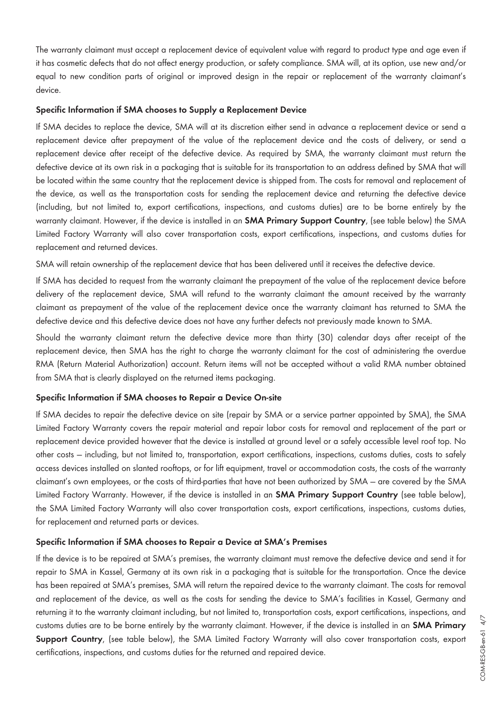The warranty claimant must accept a replacement device of equivalent value with regard to product type and age even if it has cosmetic defects that do not affect energy production, or safety compliance. SMA will, at its option, use new and/or equal to new condition parts of original or improved design in the repair or replacement of the warranty claimant's device.

#### **Specific Information if SMA chooses to Supply a Replacement Device**

If SMA decides to replace the device, SMA will at its discretion either send in advance a replacement device or send a replacement device after prepayment of the value of the replacement device and the costs of delivery, or send a replacement device after receipt of the defective device. As required by SMA, the warranty claimant must return the defective device at its own risk in a packaging that is suitable for its transportation to an address defined by SMA that will be located within the same country that the replacement device is shipped from. The costs for removal and replacement of the device, as well as the transportation costs for sending the replacement device and returning the defective device (including, but not limited to, export certifications, inspections, and customs duties) are to be borne entirely by the warranty claimant. However, if the device is installed in an **SMA Primary Support Country**, (see table below) the SMA Limited Factory Warranty will also cover transportation costs, export certifications, inspections, and customs duties for replacement and returned devices.

SMA will retain ownership of the replacement device that has been delivered until it receives the defective device.

If SMA has decided to request from the warranty claimant the prepayment of the value of the replacement device before delivery of the replacement device, SMA will refund to the warranty claimant the amount received by the warranty claimant as prepayment of the value of the replacement device once the warranty claimant has returned to SMA the defective device and this defective device does not have any further defects not previously made known to SMA.

Should the warranty claimant return the defective device more than thirty (30) calendar days after receipt of the replacement device, then SMA has the right to charge the warranty claimant for the cost of administering the overdue RMA (Return Material Authorization) account. Return items will not be accepted without a valid RMA number obtained from SMA that is clearly displayed on the returned items packaging.

#### **Specific Information if SMA chooses to Repair a Device On-site**

If SMA decides to repair the defective device on site (repair by SMA or a service partner appointed by SMA), the SMA Limited Factory Warranty covers the repair material and repair labor costs for removal and replacement of the part or replacement device provided however that the device is installed at ground level or a safely accessible level roof top. No other costs — including, but not limited to, transportation, export certifications, inspections, customs duties, costs to safely access devices installed on slanted rooftops, or for lift equipment, travel or accommodation costs, the costs of the warranty claimant's own employees, or the costs of third-parties that have not been authorized by SMA — are covered by the SMA Limited Factory Warranty. However, if the device is installed in an **SMA Primary Support Country** (see table below), the SMA Limited Factory Warranty will also cover transportation costs, export certifications, inspections, customs duties, for replacement and returned parts or devices.

#### **Specific Information if SMA chooses to Repair a Device at SMA's Premises**

If the device is to be repaired at SMA's premises, the warranty claimant must remove the defective device and send it for repair to SMA in Kassel, Germany at its own risk in a packaging that is suitable for the transportation. Once the device has been repaired at SMA's premises, SMA will return the repaired device to the warranty claimant. The costs for removal and replacement of the device, as well as the costs for sending the device to SMA's facilities in Kassel, Germany and returning it to the warranty claimant including, but not limited to, transportation costs, export certifications, inspections, and customs duties are to be borne entirely by the warranty claimant. However, if the device is installed in an **SMA Primary Support Country**, (see table below), the SMA Limited Factory Warranty will also cover transportation costs, export certifications, inspections, and customs duties for the returned and repaired device.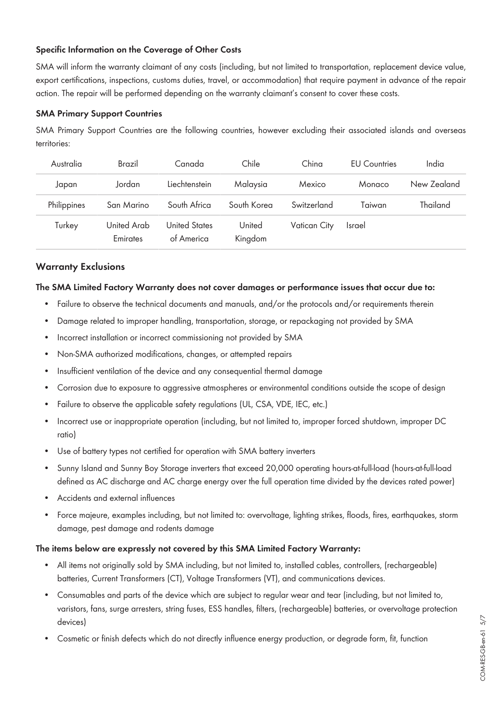## **Specific Information on the Coverage of Other Costs**

SMA will inform the warranty claimant of any costs (including, but not limited to transportation, replacement device value, export certifications, inspections, customs duties, travel, or accommodation) that require payment in advance of the repair action. The repair will be performed depending on the warranty claimant's consent to cover these costs.

#### **SMA Primary Support Countries**

SMA Primary Support Countries are the following countries, however excluding their associated islands and overseas territories:

| Australia   | Brazil                  | Canada                             | Chile             | China        | <b>FU</b> Countries | India       |
|-------------|-------------------------|------------------------------------|-------------------|--------------|---------------------|-------------|
| Japan       | Jordan                  | Liechtenstein                      | Malaysia          | Mexico       | Monaco              | New Zealand |
| Philippines | San Marino              | South Africa                       | South Korea       | Switzerland  | Taiwan              | Thailand    |
| Turkey      | United Arab<br>Emirates | <b>United States</b><br>of America | United<br>Kingdom | Vatican City | <b>Israel</b>       |             |

#### **Warranty Exclusions**

#### **The SMA Limited Factory Warranty does not cover damages or performance issues that occur due to:**

- Failure to observe the technical documents and manuals, and/or the protocols and/or requirements therein
- Damage related to improper handling, transportation, storage, or repackaging not provided by SMA
- Incorrect installation or incorrect commissioning not provided by SMA
- Non-SMA authorized modifications, changes, or attempted repairs
- Insufficient ventilation of the device and any consequential thermal damage
- Corrosion due to exposure to aggressive atmospheres or environmental conditions outside the scope of design
- Failure to observe the applicable safety regulations (UL, CSA, VDE, IEC, etc.)
- Incorrect use or inappropriate operation (including, but not limited to, improper forced shutdown, improper DC ratio)
- Use of battery types not certified for operation with SMA battery inverters
- Sunny Island and Sunny Boy Storage inverters that exceed 20,000 operating hours-at-full-load (hours-at-full-load defined as AC discharge and AC charge energy over the full operation time divided by the devices rated power)
- Accidents and external influences
- Force majeure, examples including, but not limited to: overvoltage, lighting strikes, floods, fires, earthquakes, storm damage, pest damage and rodents damage

#### **The items below are expressly not covered by this SMA Limited Factory Warranty:**

- All items not originally sold by SMA including, but not limited to, installed cables, controllers, (rechargeable) batteries, Current Transformers (CT), Voltage Transformers (VT), and communications devices.
- Consumables and parts of the device which are subject to regular wear and tear (including, but not limited to, varistors, fans, surge arresters, string fuses, ESS handles, filters, (rechargeable) batteries, or overvoltage protection devices)
- Cosmetic or finish defects which do not directly influence energy production, or degrade form, fit, function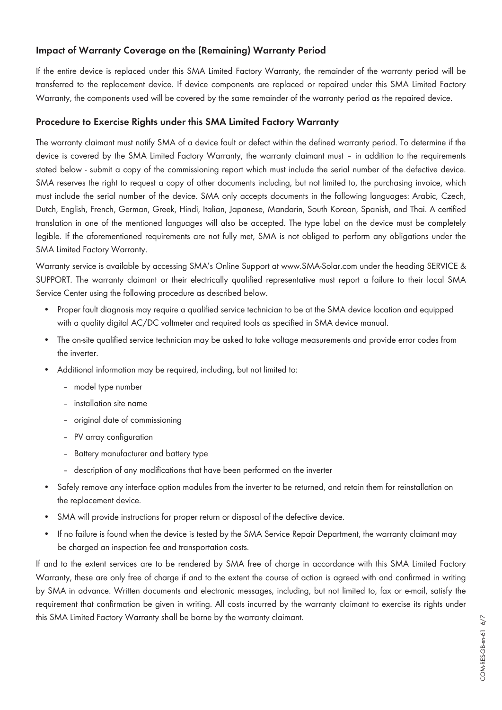# **Impact of Warranty Coverage on the (Remaining) Warranty Period**

If the entire device is replaced under this SMA Limited Factory Warranty, the remainder of the warranty period will be transferred to the replacement device. If device components are replaced or repaired under this SMA Limited Factory Warranty, the components used will be covered by the same remainder of the warranty period as the repaired device.

## **Procedure to Exercise Rights under this SMA Limited Factory Warranty**

The warranty claimant must notify SMA of a device fault or defect within the defined warranty period. To determine if the device is covered by the SMA Limited Factory Warranty, the warranty claimant must – in addition to the requirements stated below - submit a copy of the commissioning report which must include the serial number of the defective device. SMA reserves the right to request a copy of other documents including, but not limited to, the purchasing invoice, which must include the serial number of the device. SMA only accepts documents in the following languages: Arabic, Czech, Dutch, English, French, German, Greek, Hindi, Italian, Japanese, Mandarin, South Korean, Spanish, and Thai. A certified translation in one of the mentioned languages will also be accepted. The type label on the device must be completely legible. If the aforementioned requirements are not fully met, SMA is not obliged to perform any obligations under the SMA Limited Factory Warranty.

Warranty service is available by accessing SMA's Online Support at [www.SMA-Solar.com](http://www.SMA-Solar.com) under the heading SERVICE & SUPPORT. The warranty claimant or their electrically qualified representative must report a failure to their local SMA Service Center using the following procedure as described below.

- Proper fault diagnosis may require a qualified service technician to be at the SMA device location and equipped with a quality digital AC/DC voltmeter and required tools as specified in SMA device manual.
- The on-site qualified service technician may be asked to take voltage measurements and provide error codes from the inverter.
- Additional information may be required, including, but not limited to:
	- model type number
	- installation site name
	- original date of commissioning
	- PV array configuration
	- Battery manufacturer and battery type
	- description of any modifications that have been performed on the inverter
- Safely remove any interface option modules from the inverter to be returned, and retain them for reinstallation on the replacement device.
- SMA will provide instructions for proper return or disposal of the defective device.
- If no failure is found when the device is tested by the SMA Service Repair Department, the warranty claimant may be charged an inspection fee and transportation costs.

If and to the extent services are to be rendered by SMA free of charge in accordance with this SMA Limited Factory Warranty, these are only free of charge if and to the extent the course of action is agreed with and confirmed in writing by SMA in advance. Written documents and electronic messages, including, but not limited to, fax or e-mail, satisfy the requirement that confirmation be given in writing. All costs incurred by the warranty claimant to exercise its rights under this SMA Limited Factory Warranty shall be borne by the warranty claimant.